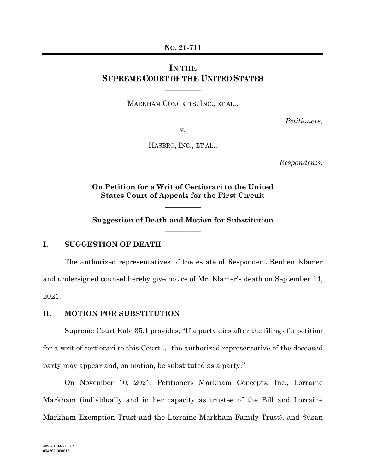**NO. 21-711** 

## IN THE SUPREME COURT OF THE UNITED STATES

 $\overline{\phantom{a}}$ 

MARKHAM CONCEPTS, INC., ET AL.,

*Petitioners,* 

v.

HASBRO, INC., ET AL.,

*Respondents.* 

**On Petition for a Writ of Certiorari to the United States Court of Appeals for the First Circuit** 

 $\overline{\phantom{a}}$  , where  $\overline{\phantom{a}}$ 

 $\overline{\phantom{a}}$ 

**Suggestion of Death and Motion for Substitution**   $\overline{\phantom{a}}$ 

## **I. SUGGESTION OF DEATH**

The authorized representatives of the estate of Respondent Reuben Klamer and undersigned counsel hereby give notice of Mr. Klamer's death on September 14, 2021.

## **II. MOTION FOR SUBSTITUTION**

Supreme Court Rule 35.1 provides, "If a party dies after the filing of a petition for a writ of certiorari to this Court … the authorized representative of the deceased party may appear and, on motion, be substituted as a party."

On November 10, 2021, Petitioners Markham Concepts, Inc., Lorraine Markham (individually and in her capacity as trustee of the Bill and Lorraine Markham Exemption Trust and the Lorraine Markham Family Trust), and Susan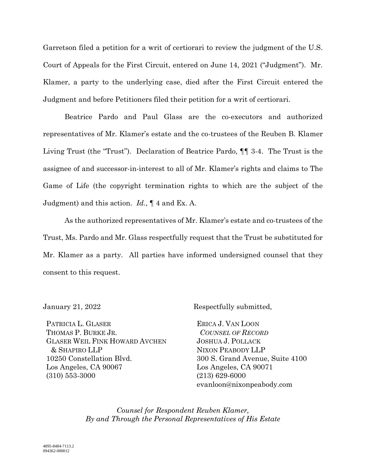Garretson filed a petition for a writ of certiorari to review the judgment of the U.S. Court of Appeals for the First Circuit, entered on June 14, 2021 ("Judgment"). Mr. Klamer, a party to the underlying case, died after the First Circuit entered the Judgment and before Petitioners filed their petition for a writ of certiorari.

Beatrice Pardo and Paul Glass are the co-executors and authorized representatives of Mr. Klamer's estate and the co-trustees of the Reuben B. Klamer Living Trust (the "Trust"). Declaration of Beatrice Pardo, ¶¶ 3-4. The Trust is the assignee of and successor-in-interest to all of Mr. Klamer's rights and claims to The Game of Life (the copyright termination rights to which are the subject of the Judgment) and this action. *Id.*, ¶ 4 and Ex. A.

As the authorized representatives of Mr. Klamer's estate and co-trustees of the Trust, Ms. Pardo and Mr. Glass respectfully request that the Trust be substituted for Mr. Klamer as a party. All parties have informed undersigned counsel that they consent to this request.

PATRICIA L. GLASER THOMAS P. BURKE JR. GLASER WEIL FINK HOWARD AVCHEN & SHAPIRO LLP 10250 Constellation Blvd. Los Angeles, CA 90067 (310) 553-3000

January 21, 2022 Respectfully submitted,

ERICA J. VAN LOON *COUNSEL OF RECORD* JOSHUA J. POLLACK NIXON PEABODY LLP 300 S. Grand Avenue, Suite 4100 Los Angeles, CA 90071 (213) 629-6000 evanloon@nixonpeabody.com

*Counsel for Respondent Reuben Klamer, By and Through the Personal Representatives of His Estate*